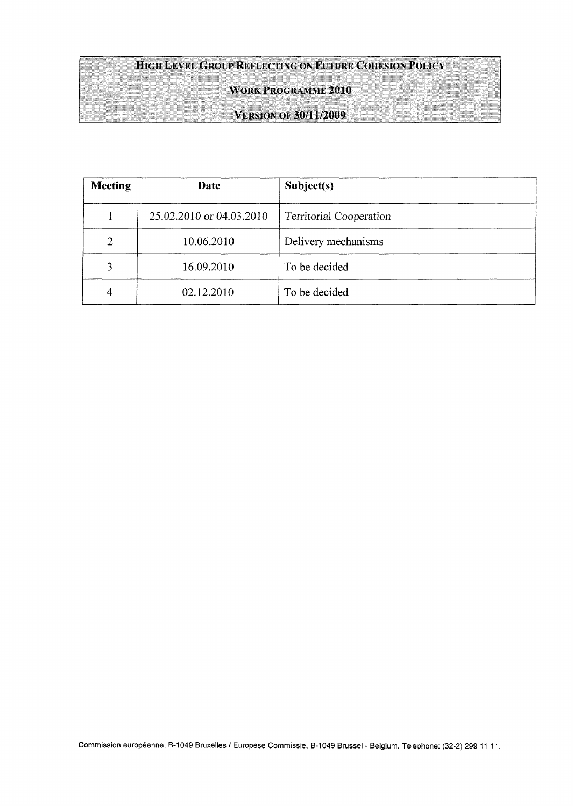# HIGH LEVEL GROUP REFLECTING ON FUTURE COHESION POLICY

## **WORK PROGRAMME 2010**

¡¡lilli!

## **VERSION OF 30/11/2009**

| <b>Meeting</b> | Date                     | Subject(s)                     |  |
|----------------|--------------------------|--------------------------------|--|
|                | 25.02.2010 or 04.03.2010 | <b>Territorial Cooperation</b> |  |
| $\overline{2}$ | 10.06.2010               | Delivery mechanisms            |  |
| 3              | 16.09.2010               | To be decided                  |  |
| 4              | 02.12.2010               | To be decided                  |  |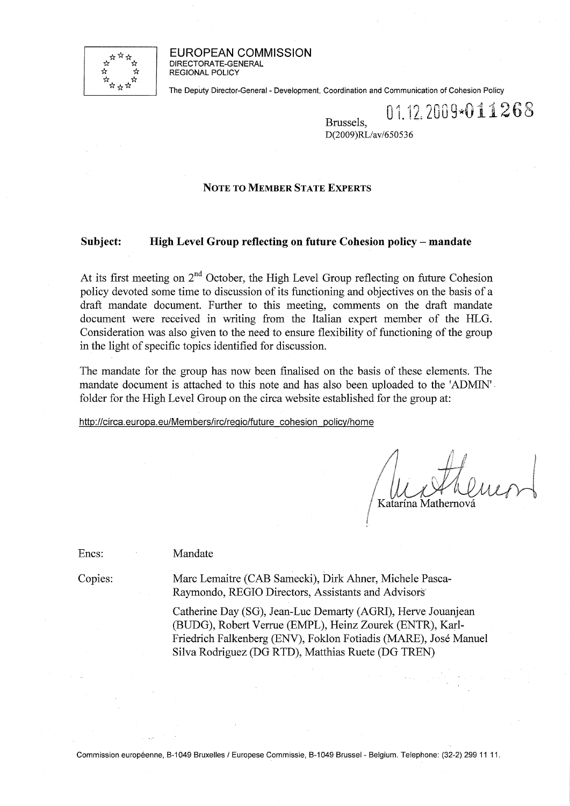

EUROPEAN COMMISSION DIRECTORATE-GENERAL REGIONAL POLICY

The Deputy Director-General - Development, Coordination and Communication of Cohesion Policy

 $_{\rm Brussels}$  01.12.2009\*011268 DIUSSUS,<br>DOMMNI  $D(200)$ RL/av/650556

## **NOTE TO MEMBER STATE EXPERTS**

## **Subject: High Level Group reflecting on future Cohesion policy - mandate**

At its first meeting on  $2<sup>nd</sup>$  October, the High Level Group reflecting on future Cohesion policy devoted some time to discussion of its functioning and objectives on the basis of a draft mandate document. Further to this meeting, comments on the draft mandate document were received in writing from the Italian expert member of the HLG. Consideration was also given to the need to ensure flexibility of functioning of the group in the light of specific topics identified for discussion.

The mandate for the group has now been finalised on the basis of these elements. The mandate document is attached to this note and has also been uploaded to the 'ADMIN' folder for the High Level Group on the circa website established for the group at:

<http://circa.europa.eu/Members/irc/reqio/future>cohesion policy/home

Katarína Mathernov

Enes:

Mandate

Copies:

Marc Lemaitre (CAB Samecki), Dirk Ahner, Michele Pasca-Raymondo, REGIO Directors, Assistants and Advisors

Catherine Day (SG), Jean-Luc Demarty (AGRI), Herve Jouanjean (BUDG), Robert Verrue (EMPL), Heinz Zourek (ENTR), Karl-Friedrich Falkenberg (ENV), Fokion Fotiadis (MARE), José Manuel Silva Rodriguez (DG RTD), Matthias Ruete (DG TREN)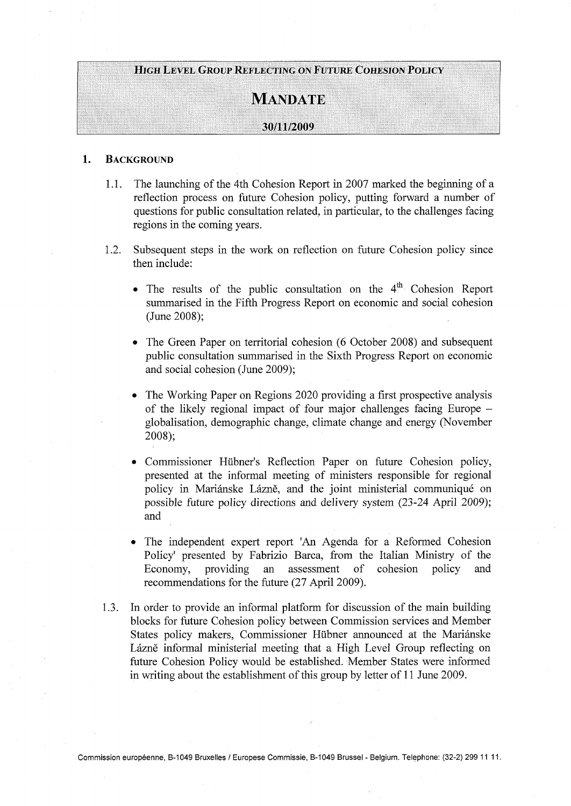## **;;&;;Щ|Щ**

## $M$ АNDАТЕ

# $30/11/2009$

#### $1.$ **BACKGROUND**

- 1.1. The launching of the 4th Cohesion Report in 2007 marked the beginning of a reflection process on future Cohesion policy, putting forward a number of questions for public consultation related, in particular, to the challenges facing regions in the coming years.
- 1.2. Subsequent steps in the work on reflection on future Cohesion policy since then include:
	- The results of the public consultation on the 4<sup>th</sup> Cohesion Report summarised in the Fifth Progress Report on economic and social cohesion (June 2008);
	- The Green Paper on territorial cohesion (6 October 2008) and subsequent public consultation summarised in the Sixth Progress Report on economic and social cohesion (June 2009);
	- The Working Paper on Regions 2020 providing a first prospective analysis of the likely regional impact of four major challenges facing Europe globalisation, demographic change, climate change and energy (November 2008);
	- Commissioner Hübner's Reflection Paper on future Cohesion policy, presented at the informal meeting of ministers responsible for regional policy in Mariánske Lázně, and the joint ministerial communiqué on possible future policy directions and delivery system (23-24 April 2009); and
	- The independent expert report 'An Agenda for a Reformed Cohesion Policy' presented by Fabrizio Barca, from the Italian Ministry of the Economy, providing an assessment of cohesion policy and recommendations for the future (27 April 2009).
- 1.3. In order to provide an informal platform for discussion of the main building blocks for future Cohesion policy between Commission services and Member States policy makers, Commissioner Hübner announced at the Mariánske Lázně informal ministerial meeting that a High Level Group reflecting on future Cohesion Policy would be established. Member States were informed in writing about the establishment of this group by letter of 11 June 2009.

Commission européenne, B-1049 Bruxelles / Europese Commissie, B-1049 Brussel - Belgium. Telephone: (32-2) 299 1111.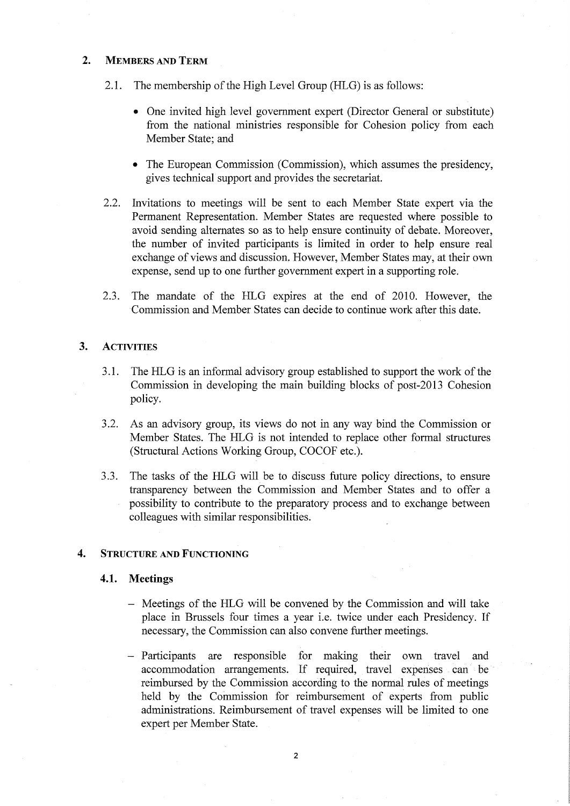## 2. MEMBERS AND TERM

- 2.1. The membership of the High Level Group (HLG) is as follows:
	- One invited high level government expert (Director General or substitute) from the national ministries responsible for Cohesion policy from each Member State; and
	- The European Commission (Commission), which assumes the presidency, gives technical support and provides the secretariat.
- 2.2. Invitations to meetings will be sent to each Member State expert via the Permanent Representation. Member States are requested where possible to avoid sending alternates so as to help ensure continuity of debate. Moreover, the number of invited participants is limited in order to help ensure real exchange of views and discussion. However, Member States may, at their own expense, send up to one further government expert in a supporting role.
- 2.3. The mandate of the HLG expires at the end of 2010. However, the Commission and Member States can decide to continue work after this date.

## 3. ACTIVITIES

- 3.1. The HLG is an informal advisory group established to support the work of the Commission in developing the main building blocks of post-2013 Cohesion policy.
- 3.2. As an advisory group, its views do not in any way bind the Commission or Member States. The HLG is not intended to replace other formal structures (Structural Actions Working Group, COCOF etc.).
- 3.3. The tasks of the HLG will be to discuss future policy directions, to ensure transparency between the Commission and Member States and to offer a possibility to contribute to the preparatory process and to exchange between colleagues with similar responsibilities.

## 4. STRUCTURE AND FUNCTIONING

## 4.1. Meetings

- Meetings of the HLG will be convened by the Commission and will take place in Brussels four times a year i.e. twice under each Presidency. If necessary, the Commission can also convene further meetings.
- Participants are responsible for making their own travel and accommodation arrangements. If required, travel expenses can be reimbursed by the Commission according to the normal rules of meetings held by the Commission for reimbursement of experts from public administrations. Reimbursement of travel expenses will be limited to one expert per Member State.